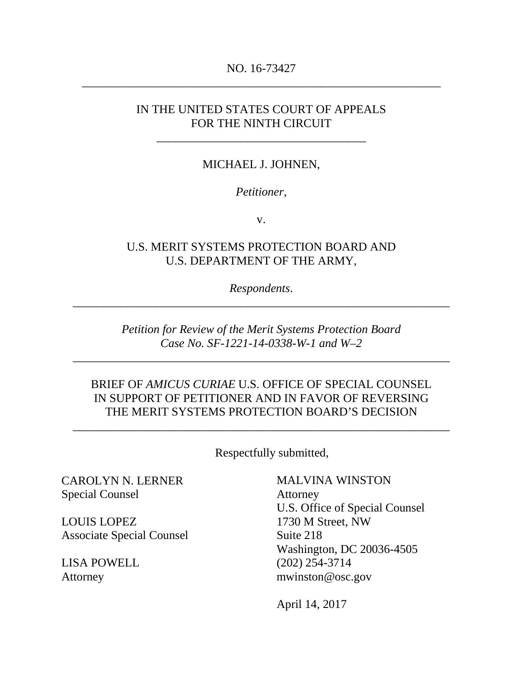# NO. 16-73427 \_\_\_\_\_\_\_\_\_\_\_\_\_\_\_\_\_\_\_\_\_\_\_\_\_\_\_\_\_\_\_\_\_\_\_\_\_\_\_\_\_\_\_\_\_\_\_\_\_\_\_\_\_\_\_\_\_\_\_\_

# IN THE UNITED STATES COURT OF APPEALS FOR THE NINTH CIRCUIT

\_\_\_\_\_\_\_\_\_\_\_\_\_\_\_\_\_\_\_\_\_\_\_\_\_\_\_\_\_\_\_\_\_\_\_

### MICHAEL J. JOHNEN,

#### *Petitioner*,

v.

## U.S. MERIT SYSTEMS PROTECTION BOARD AND U.S. DEPARTMENT OF THE ARMY,

*Respondents*. \_\_\_\_\_\_\_\_\_\_\_\_\_\_\_\_\_\_\_\_\_\_\_\_\_\_\_\_\_\_\_\_\_\_\_\_\_\_\_\_\_\_\_\_\_\_\_\_\_\_\_\_\_\_\_\_\_\_\_\_\_\_\_

> *Petition for Review of the Merit Systems Protection Board Case No. SF-1221-14-0338-W-1 and W–2*

*\_*\_\_\_\_\_\_\_\_\_\_\_\_\_\_\_\_\_\_\_\_\_\_\_\_\_\_\_\_\_\_\_\_\_\_\_\_\_\_\_\_\_\_\_\_\_\_\_\_\_\_\_\_\_\_\_\_\_\_\_\_\_\_

### BRIEF OF *AMICUS CURIAE* U.S. OFFICE OF SPECIAL COUNSEL IN SUPPORT OF PETITIONER AND IN FAVOR OF REVERSING THE MERIT SYSTEMS PROTECTION BOARD'S DECISION

\_\_\_\_\_\_\_\_\_\_\_\_\_\_\_\_\_\_\_\_\_\_\_\_\_\_\_\_\_\_\_\_\_\_\_\_\_\_\_\_\_\_\_\_\_\_\_\_\_\_\_\_\_\_\_\_\_\_\_\_\_\_\_

Respectfully submitted,

CAROLYN N. LERNER Special Counsel

LOUIS LOPEZ Associate Special Counsel

LISA POWELL Attorney

MALVINA WINSTON Attorney U.S. Office of Special Counsel 1730 M Street, NW Suite 218 Washington, DC 20036-4505 (202) 254-3714 mwinston@osc.gov

April 14, 2017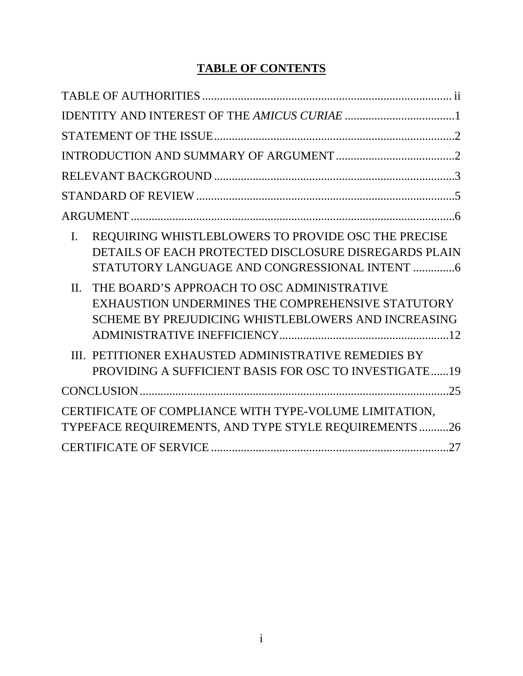# **TABLE OF CONTENTS**

| REQUIRING WHISTLEBLOWERS TO PROVIDE OSC THE PRECISE<br>$\mathbf{I}$ .<br>DETAILS OF EACH PROTECTED DISCLOSURE DISREGARDS PLAIN<br>STATUTORY LANGUAGE AND CONGRESSIONAL INTENT 6 |
|---------------------------------------------------------------------------------------------------------------------------------------------------------------------------------|
| $\Pi$ .<br>THE BOARD'S APPROACH TO OSC ADMINISTRATIVE<br>EXHAUSTION UNDERMINES THE COMPREHENSIVE STATUTORY<br>SCHEME BY PREJUDICING WHISTLEBLOWERS AND INCREASING               |
| III. PETITIONER EXHAUSTED ADMINISTRATIVE REMEDIES BY<br>PROVIDING A SUFFICIENT BASIS FOR OSC TO INVESTIGATE19                                                                   |
|                                                                                                                                                                                 |
| CERTIFICATE OF COMPLIANCE WITH TYPE-VOLUME LIMITATION,<br>TYPEFACE REQUIREMENTS, AND TYPE STYLE REQUIREMENTS26                                                                  |
|                                                                                                                                                                                 |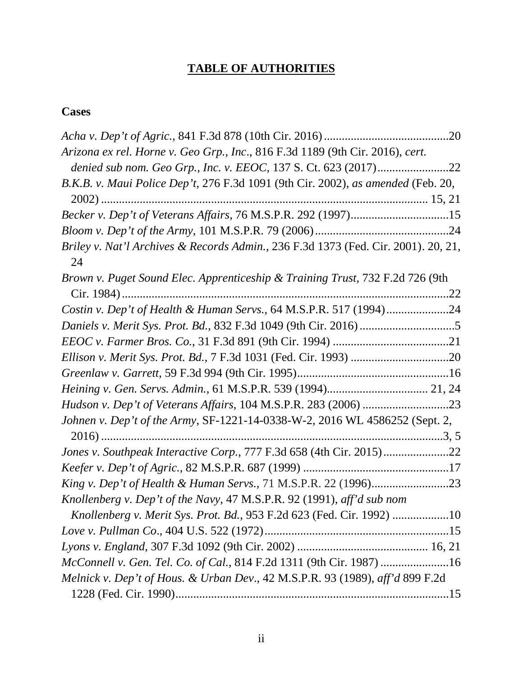# **TABLE OF AUTHORITIES**

# <span id="page-2-0"></span>**Cases**

| Arizona ex rel. Horne v. Geo Grp., Inc., 816 F.3d 1189 (9th Cir. 2016), cert.      |  |
|------------------------------------------------------------------------------------|--|
| denied sub nom. Geo Grp., Inc. v. EEOC, 137 S. Ct. 623 (2017)22                    |  |
| B.K.B. v. Maui Police Dep't, 276 F.3d 1091 (9th Cir. 2002), as amended (Feb. 20,   |  |
|                                                                                    |  |
| Becker v. Dep't of Veterans Affairs, 76 M.S.P.R. 292 (1997)15                      |  |
|                                                                                    |  |
| Briley v. Nat'l Archives & Records Admin., 236 F.3d 1373 (Fed. Cir. 2001). 20, 21, |  |
| 24                                                                                 |  |
| Brown v. Puget Sound Elec. Apprenticeship & Training Trust, 732 F.2d 726 (9th      |  |
|                                                                                    |  |
| Costin v. Dep't of Health & Human Servs., 64 M.S.P.R. 517 (1994)24                 |  |
|                                                                                    |  |
|                                                                                    |  |
|                                                                                    |  |
|                                                                                    |  |
|                                                                                    |  |
|                                                                                    |  |
| Johnen v. Dep't of the Army, SF-1221-14-0338-W-2, 2016 WL 4586252 (Sept. 2,        |  |
|                                                                                    |  |
| Jones v. Southpeak Interactive Corp., 777 F.3d 658 (4th Cir. 2015)22               |  |
|                                                                                    |  |
|                                                                                    |  |
| Knollenberg v. Dep't of the Navy, 47 M.S.P.R. 92 (1991), aff'd sub nom             |  |
| Knollenberg v. Merit Sys. Prot. Bd., 953 F.2d 623 (Fed. Cir. 1992) 10              |  |
|                                                                                    |  |
|                                                                                    |  |
| McConnell v. Gen. Tel. Co. of Cal., 814 F.2d 1311 (9th Cir. 1987) 16               |  |
| Melnick v. Dep't of Hous. & Urban Dev., 42 M.S.P.R. 93 (1989), aff'd 899 F.2d      |  |
|                                                                                    |  |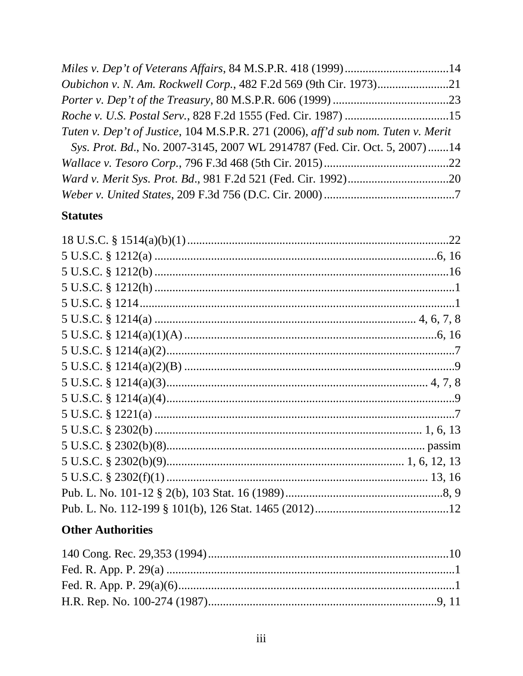| Tuten v. Dep't of Justice, 104 M.S.P.R. 271 (2006), aff'd sub nom. Tuten v. Merit |  |
|-----------------------------------------------------------------------------------|--|
| Sys. Prot. Bd., No. 2007-3145, 2007 WL 2914787 (Fed. Cir. Oct. 5, 2007) 14        |  |
|                                                                                   |  |
|                                                                                   |  |
|                                                                                   |  |

# **Statutes**

# **Other Authorities**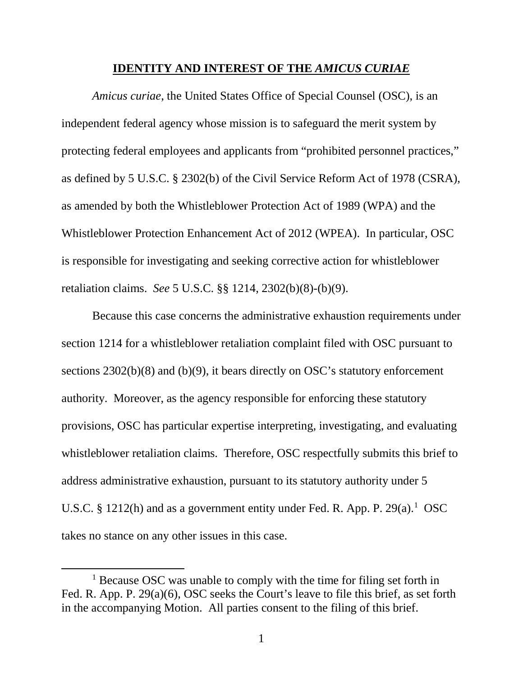#### **IDENTITY AND INTEREST OF THE** *AMICUS CURIAE*

<span id="page-5-0"></span>*Amicus curiae*, the United States Office of Special Counsel (OSC), is an independent federal agency whose mission is to safeguard the merit system by protecting federal employees and applicants from "prohibited personnel practices," as defined by 5 U.S.C. § 2302(b) of the Civil Service Reform Act of 1978 (CSRA), as amended by both the Whistleblower Protection Act of 1989 (WPA) and the Whistleblower Protection Enhancement Act of 2012 (WPEA). In particular, OSC is responsible for investigating and seeking corrective action for whistleblower retaliation claims. *See* 5 U.S.C. §§ 1214, 2302(b)(8)-(b)(9).

Because this case concerns the administrative exhaustion requirements under section 1214 for a whistleblower retaliation complaint filed with OSC pursuant to sections 2302(b)(8) and (b)(9), it bears directly on OSC's statutory enforcement authority. Moreover, as the agency responsible for enforcing these statutory provisions, OSC has particular expertise interpreting, investigating, and evaluating whistleblower retaliation claims. Therefore, OSC respectfully submits this brief to address administrative exhaustion, pursuant to its statutory authority under 5 U.S.C. § [1](#page-5-1)212(h) and as a government entity under Fed. R. App. P. 29(a).<sup>1</sup> OSC takes no stance on any other issues in this case.

<span id="page-5-1"></span><sup>&</sup>lt;sup>1</sup> Because OSC was unable to comply with the time for filing set forth in Fed. R. App. P. 29(a)(6), OSC seeks the Court's leave to file this brief, as set forth in the accompanying Motion. All parties consent to the filing of this brief.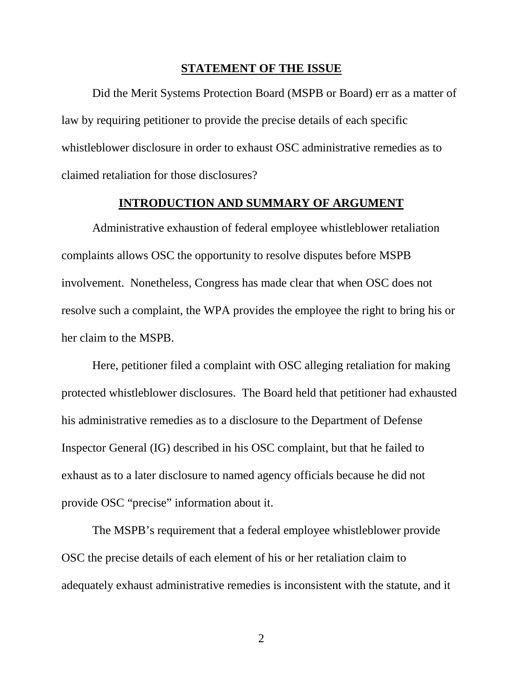#### **STATEMENT OF THE ISSUE**

<span id="page-6-0"></span>Did the Merit Systems Protection Board (MSPB or Board) err as a matter of law by requiring petitioner to provide the precise details of each specific whistleblower disclosure in order to exhaust OSC administrative remedies as to claimed retaliation for those disclosures?

#### **INTRODUCTION AND SUMMARY OF ARGUMENT**

<span id="page-6-1"></span>Administrative exhaustion of federal employee whistleblower retaliation complaints allows OSC the opportunity to resolve disputes before MSPB involvement. Nonetheless, Congress has made clear that when OSC does not resolve such a complaint, the WPA provides the employee the right to bring his or her claim to the MSPB.

Here, petitioner filed a complaint with OSC alleging retaliation for making protected whistleblower disclosures. The Board held that petitioner had exhausted his administrative remedies as to a disclosure to the Department of Defense Inspector General (IG) described in his OSC complaint, but that he failed to exhaust as to a later disclosure to named agency officials because he did not provide OSC "precise" information about it.

The MSPB's requirement that a federal employee whistleblower provide OSC the precise details of each element of his or her retaliation claim to adequately exhaust administrative remedies is inconsistent with the statute, and it

2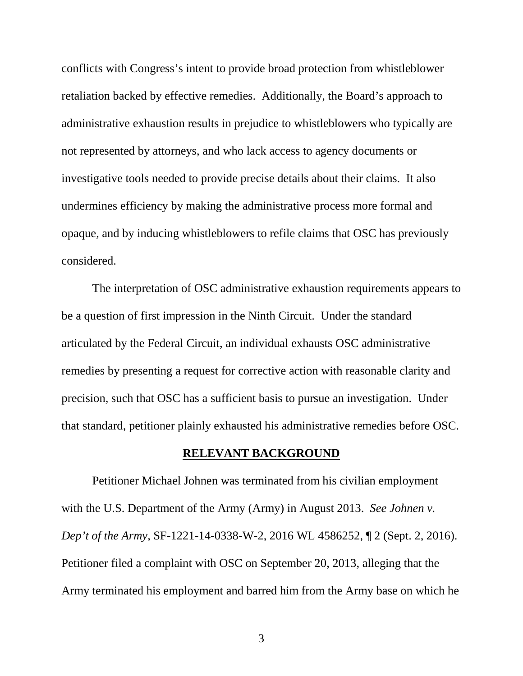conflicts with Congress's intent to provide broad protection from whistleblower retaliation backed by effective remedies. Additionally, the Board's approach to administrative exhaustion results in prejudice to whistleblowers who typically are not represented by attorneys, and who lack access to agency documents or investigative tools needed to provide precise details about their claims. It also undermines efficiency by making the administrative process more formal and opaque, and by inducing whistleblowers to refile claims that OSC has previously considered.

The interpretation of OSC administrative exhaustion requirements appears to be a question of first impression in the Ninth Circuit. Under the standard articulated by the Federal Circuit, an individual exhausts OSC administrative remedies by presenting a request for corrective action with reasonable clarity and precision, such that OSC has a sufficient basis to pursue an investigation. Under that standard, petitioner plainly exhausted his administrative remedies before OSC.

#### **RELEVANT BACKGROUND**

<span id="page-7-0"></span>Petitioner Michael Johnen was terminated from his civilian employment with the U.S. Department of the Army (Army) in August 2013. *See Johnen v. Dep't of the Army*, SF-1221-14-0338-W-2, 2016 WL 4586252, ¶ 2 (Sept. 2, 2016). Petitioner filed a complaint with OSC on September 20, 2013, alleging that the Army terminated his employment and barred him from the Army base on which he

3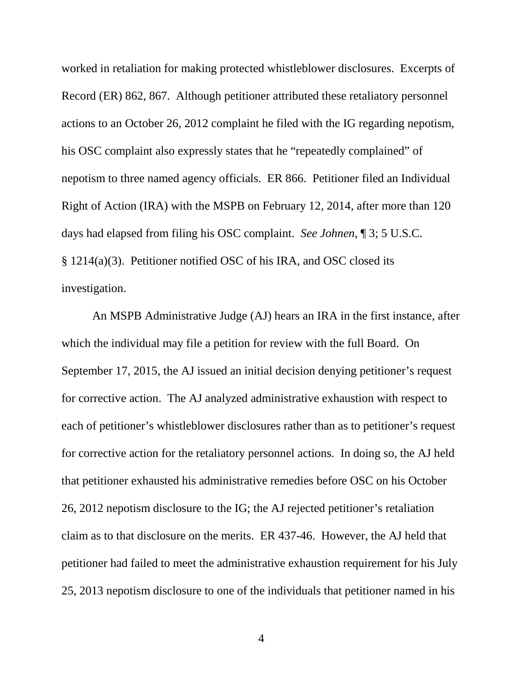worked in retaliation for making protected whistleblower disclosures. Excerpts of Record (ER) 862, 867. Although petitioner attributed these retaliatory personnel actions to an October 26, 2012 complaint he filed with the IG regarding nepotism, his OSC complaint also expressly states that he "repeatedly complained" of nepotism to three named agency officials. ER 866. Petitioner filed an Individual Right of Action (IRA) with the MSPB on February 12, 2014, after more than 120 days had elapsed from filing his OSC complaint. *See Johnen*, ¶ 3; 5 U.S.C. § 1214(a)(3). Petitioner notified OSC of his IRA, and OSC closed its investigation.

An MSPB Administrative Judge (AJ) hears an IRA in the first instance, after which the individual may file a petition for review with the full Board. On September 17, 2015, the AJ issued an initial decision denying petitioner's request for corrective action. The AJ analyzed administrative exhaustion with respect to each of petitioner's whistleblower disclosures rather than as to petitioner's request for corrective action for the retaliatory personnel actions. In doing so, the AJ held that petitioner exhausted his administrative remedies before OSC on his October 26, 2012 nepotism disclosure to the IG; the AJ rejected petitioner's retaliation claim as to that disclosure on the merits. ER 437-46. However, the AJ held that petitioner had failed to meet the administrative exhaustion requirement for his July 25, 2013 nepotism disclosure to one of the individuals that petitioner named in his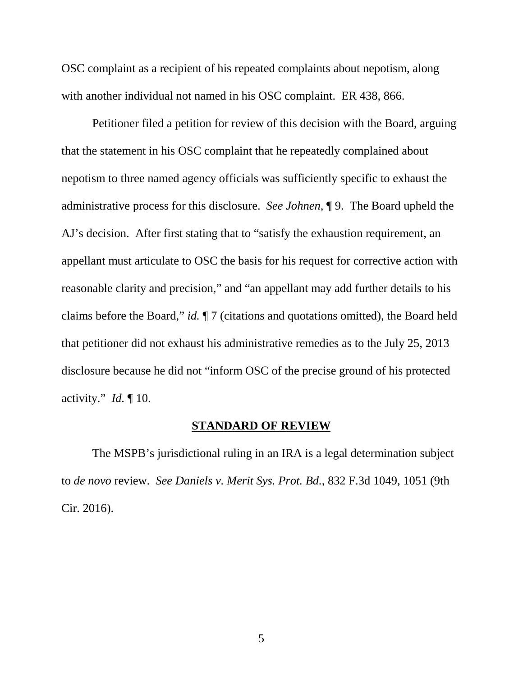OSC complaint as a recipient of his repeated complaints about nepotism, along with another individual not named in his OSC complaint. ER 438, 866.

Petitioner filed a petition for review of this decision with the Board, arguing that the statement in his OSC complaint that he repeatedly complained about nepotism to three named agency officials was sufficiently specific to exhaust the administrative process for this disclosure. *See Johnen*, ¶ 9. The Board upheld the AJ's decision. After first stating that to "satisfy the exhaustion requirement, an appellant must articulate to OSC the basis for his request for corrective action with reasonable clarity and precision," and "an appellant may add further details to his claims before the Board," *id.* ¶ 7 (citations and quotations omitted), the Board held that petitioner did not exhaust his administrative remedies as to the July 25, 2013 disclosure because he did not "inform OSC of the precise ground of his protected activity." *Id.* ¶ 10.

#### **STANDARD OF REVIEW**

<span id="page-9-0"></span>The MSPB's jurisdictional ruling in an IRA is a legal determination subject to *de novo* review. *See Daniels v. Merit Sys. Prot. Bd.*, 832 F.3d 1049, 1051 (9th Cir. 2016).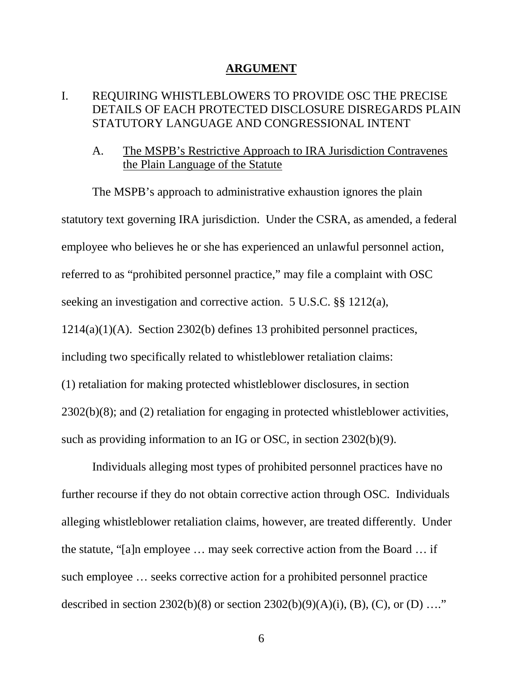#### **ARGUMENT**

# <span id="page-10-1"></span><span id="page-10-0"></span>I. REQUIRING WHISTLEBLOWERS TO PROVIDE OSC THE PRECISE DETAILS OF EACH PROTECTED DISCLOSURE DISREGARDS PLAIN STATUTORY LANGUAGE AND CONGRESSIONAL INTENT

## A. The MSPB's Restrictive Approach to IRA Jurisdiction Contravenes the Plain Language of the Statute

The MSPB's approach to administrative exhaustion ignores the plain statutory text governing IRA jurisdiction. Under the CSRA, as amended, a federal employee who believes he or she has experienced an unlawful personnel action, referred to as "prohibited personnel practice," may file a complaint with OSC seeking an investigation and corrective action. 5 U.S.C. §§ 1212(a), 1214(a)(1)(A). Section 2302(b) defines 13 prohibited personnel practices, including two specifically related to whistleblower retaliation claims: (1) retaliation for making protected whistleblower disclosures, in section 2302(b)(8); and (2) retaliation for engaging in protected whistleblower activities, such as providing information to an IG or OSC, in section 2302(b)(9).

Individuals alleging most types of prohibited personnel practices have no further recourse if they do not obtain corrective action through OSC. Individuals alleging whistleblower retaliation claims, however, are treated differently. Under the statute, "[a]n employee … may seek corrective action from the Board … if such employee … seeks corrective action for a prohibited personnel practice described in section 2302(b)(8) or section 2302(b)(9)(A)(i), (B), (C), or (D) ...."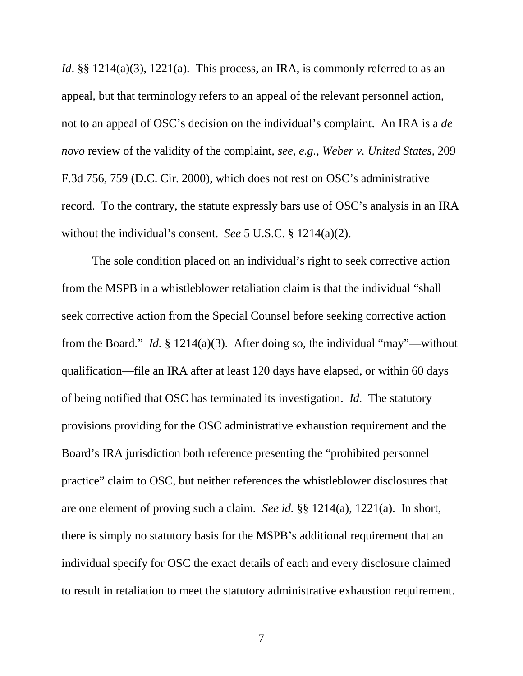*Id*. §§ 1214(a)(3), 1221(a). This process, an IRA, is commonly referred to as an appeal, but that terminology refers to an appeal of the relevant personnel action, not to an appeal of OSC's decision on the individual's complaint. An IRA is a *de novo* review of the validity of the complaint, *see, e.g.*, *Weber v. United States*, 209 F.3d 756, 759 (D.C. Cir. 2000), which does not rest on OSC's administrative record. To the contrary, the statute expressly bars use of OSC's analysis in an IRA without the individual's consent. *See* 5 U.S.C. § 1214(a)(2).

The sole condition placed on an individual's right to seek corrective action from the MSPB in a whistleblower retaliation claim is that the individual "shall seek corrective action from the Special Counsel before seeking corrective action from the Board." *Id.* § 1214(a)(3). After doing so, the individual "may"—without qualification—file an IRA after at least 120 days have elapsed, or within 60 days of being notified that OSC has terminated its investigation. *Id.* The statutory provisions providing for the OSC administrative exhaustion requirement and the Board's IRA jurisdiction both reference presenting the "prohibited personnel practice" claim to OSC, but neither references the whistleblower disclosures that are one element of proving such a claim. *See id.* §§ 1214(a), 1221(a). In short, there is simply no statutory basis for the MSPB's additional requirement that an individual specify for OSC the exact details of each and every disclosure claimed to result in retaliation to meet the statutory administrative exhaustion requirement.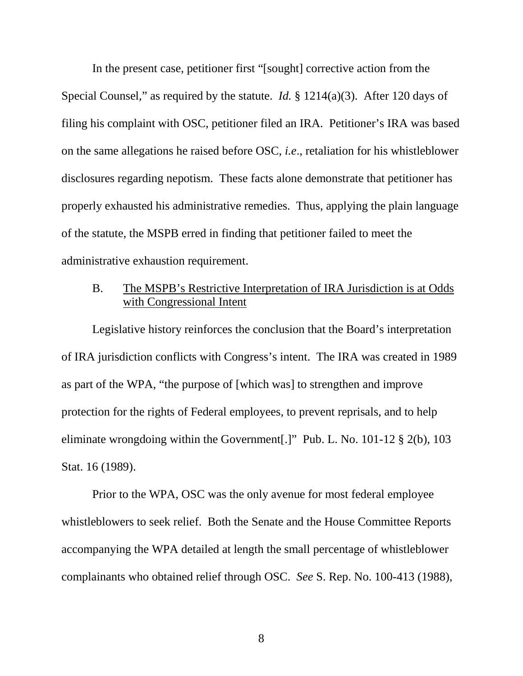In the present case, petitioner first "[sought] corrective action from the Special Counsel," as required by the statute. *Id.* § 1214(a)(3). After 120 days of filing his complaint with OSC, petitioner filed an IRA. Petitioner's IRA was based on the same allegations he raised before OSC, *i.e*., retaliation for his whistleblower disclosures regarding nepotism. These facts alone demonstrate that petitioner has properly exhausted his administrative remedies. Thus, applying the plain language of the statute, the MSPB erred in finding that petitioner failed to meet the administrative exhaustion requirement.

# B. The MSPB's Restrictive Interpretation of IRA Jurisdiction is at Odds with Congressional Intent

Legislative history reinforces the conclusion that the Board's interpretation of IRA jurisdiction conflicts with Congress's intent. The IRA was created in 1989 as part of the WPA, "the purpose of [which was] to strengthen and improve protection for the rights of Federal employees, to prevent reprisals, and to help eliminate wrongdoing within the Government[.]" Pub. L. No. 101-12 § 2(b), 103 Stat. 16 (1989).

Prior to the WPA, OSC was the only avenue for most federal employee whistleblowers to seek relief. Both the Senate and the House Committee Reports accompanying the WPA detailed at length the small percentage of whistleblower complainants who obtained relief through OSC. *See* S. Rep. No. 100-413 (1988),

8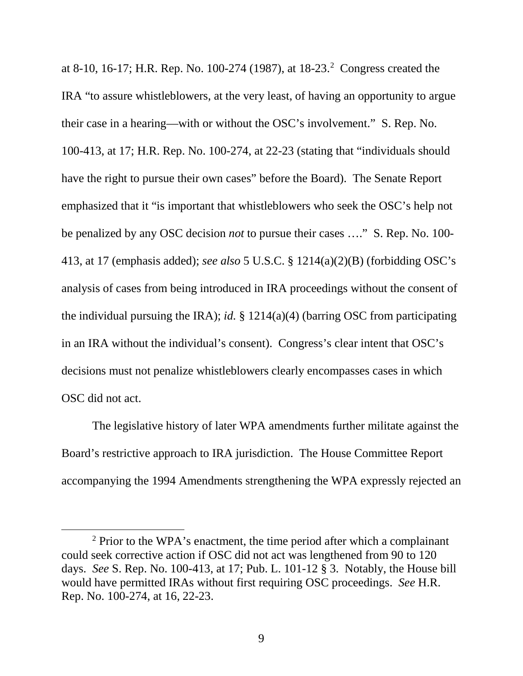at 8-10, 16-17; H.R. Rep. No. 100-[2](#page-13-0)74 (1987), at 18-23.<sup>2</sup> Congress created the IRA "to assure whistleblowers, at the very least, of having an opportunity to argue their case in a hearing—with or without the OSC's involvement." S. Rep. No. 100-413, at 17; H.R. Rep. No. 100-274, at 22-23 (stating that "individuals should have the right to pursue their own cases" before the Board). The Senate Report emphasized that it "is important that whistleblowers who seek the OSC's help not be penalized by any OSC decision *not* to pursue their cases …." S. Rep. No. 100- 413, at 17 (emphasis added); *see also* 5 U.S.C. § 1214(a)(2)(B) (forbidding OSC's analysis of cases from being introduced in IRA proceedings without the consent of the individual pursuing the IRA); *id.* § 1214(a)(4) (barring OSC from participating in an IRA without the individual's consent). Congress's clear intent that OSC's decisions must not penalize whistleblowers clearly encompasses cases in which OSC did not act.

The legislative history of later WPA amendments further militate against the Board's restrictive approach to IRA jurisdiction. The House Committee Report accompanying the 1994 Amendments strengthening the WPA expressly rejected an

<span id="page-13-0"></span><sup>2</sup> Prior to the WPA's enactment, the time period after which a complainant could seek corrective action if OSC did not act was lengthened from 90 to 120 days. *See* S. Rep. No. 100-413, at 17; Pub. L. 101-12 § 3. Notably, the House bill would have permitted IRAs without first requiring OSC proceedings. *See* H.R. Rep. No. 100-274, at 16, 22-23.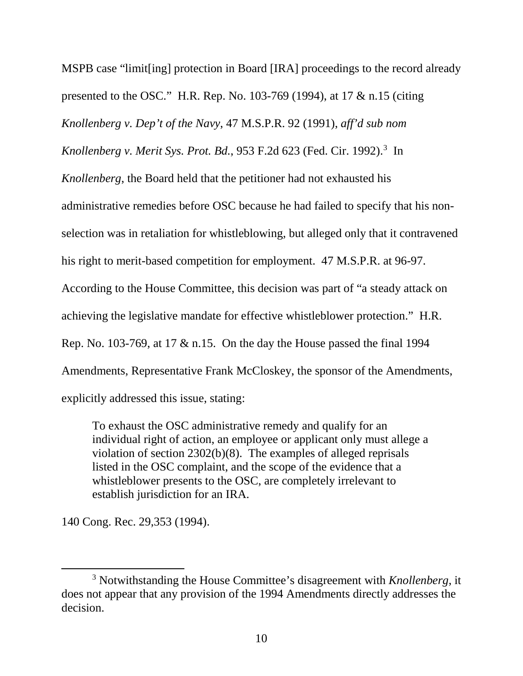MSPB case "limit[ing] protection in Board [IRA] proceedings to the record already presented to the OSC." H.R. Rep. No. 103-769 (1994), at 17 & n.15 (citing *Knollenberg v. Dep't of the Navy*, 47 M.S.P.R. 92 (1991), *aff'd sub nom Knollenberg v. Merit Sys. Prot. Bd.*, 953 F.2d 623 (Fed. Cir. 1992). [3](#page-14-0) In *Knollenberg*, the Board held that the petitioner had not exhausted his administrative remedies before OSC because he had failed to specify that his nonselection was in retaliation for whistleblowing, but alleged only that it contravened his right to merit-based competition for employment. 47 M.S.P.R. at 96-97. According to the House Committee, this decision was part of "a steady attack on achieving the legislative mandate for effective whistleblower protection." H.R. Rep. No. 103-769, at 17 & n.15. On the day the House passed the final 1994 Amendments, Representative Frank McCloskey, the sponsor of the Amendments, explicitly addressed this issue, stating:

To exhaust the OSC administrative remedy and qualify for an individual right of action, an employee or applicant only must allege a violation of section 2302(b)(8). The examples of alleged reprisals listed in the OSC complaint, and the scope of the evidence that a whistleblower presents to the OSC, are completely irrelevant to establish jurisdiction for an IRA.

140 Cong. Rec. 29,353 (1994).

<span id="page-14-0"></span><sup>3</sup> Notwithstanding the House Committee's disagreement with *Knollenberg*, it does not appear that any provision of the 1994 Amendments directly addresses the decision.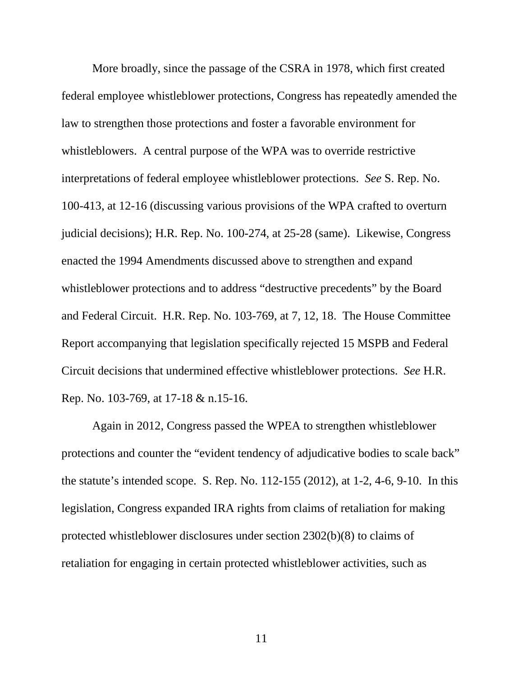More broadly, since the passage of the CSRA in 1978, which first created federal employee whistleblower protections, Congress has repeatedly amended the law to strengthen those protections and foster a favorable environment for whistleblowers. A central purpose of the WPA was to override restrictive interpretations of federal employee whistleblower protections. *See* S. Rep. No. 100-413, at 12-16 (discussing various provisions of the WPA crafted to overturn judicial decisions); H.R. Rep. No. 100-274, at 25-28 (same). Likewise, Congress enacted the 1994 Amendments discussed above to strengthen and expand whistleblower protections and to address "destructive precedents" by the Board and Federal Circuit. H.R. Rep. No. 103-769, at 7, 12, 18. The House Committee Report accompanying that legislation specifically rejected 15 MSPB and Federal Circuit decisions that undermined effective whistleblower protections. *See* H.R. Rep. No. 103-769, at 17-18 & n.15-16.

Again in 2012, Congress passed the WPEA to strengthen whistleblower protections and counter the "evident tendency of adjudicative bodies to scale back" the statute's intended scope. S. Rep. No. 112-155 (2012), at 1-2, 4-6, 9-10. In this legislation, Congress expanded IRA rights from claims of retaliation for making protected whistleblower disclosures under section 2302(b)(8) to claims of retaliation for engaging in certain protected whistleblower activities, such as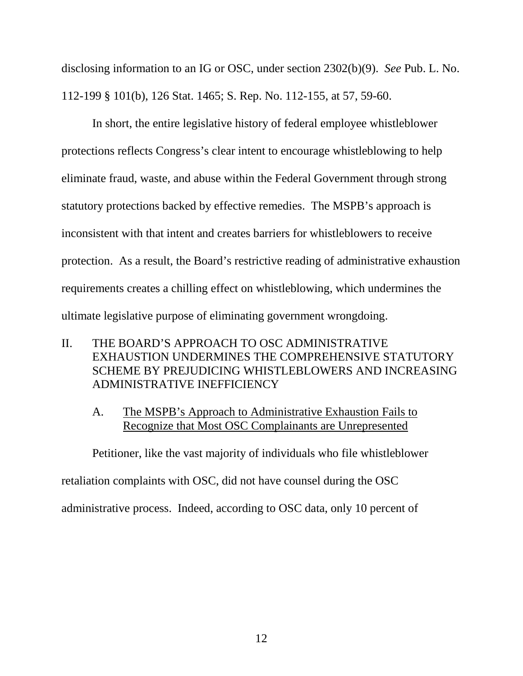disclosing information to an IG or OSC, under section 2302(b)(9). *See* Pub. L. No. 112-199 § 101(b), 126 Stat. 1465; S. Rep. No. 112-155, at 57, 59-60.

In short, the entire legislative history of federal employee whistleblower protections reflects Congress's clear intent to encourage whistleblowing to help eliminate fraud, waste, and abuse within the Federal Government through strong statutory protections backed by effective remedies. The MSPB's approach is inconsistent with that intent and creates barriers for whistleblowers to receive protection. As a result, the Board's restrictive reading of administrative exhaustion requirements creates a chilling effect on whistleblowing, which undermines the ultimate legislative purpose of eliminating government wrongdoing.

- <span id="page-16-0"></span>II. THE BOARD'S APPROACH TO OSC ADMINISTRATIVE EXHAUSTION UNDERMINES THE COMPREHENSIVE STATUTORY SCHEME BY PREJUDICING WHISTLEBLOWERS AND INCREASING ADMINISTRATIVE INEFFICIENCY
	- A. The MSPB's Approach to Administrative Exhaustion Fails to Recognize that Most OSC Complainants are Unrepresented

Petitioner, like the vast majority of individuals who file whistleblower

retaliation complaints with OSC, did not have counsel during the OSC

administrative process. Indeed, according to OSC data, only 10 percent of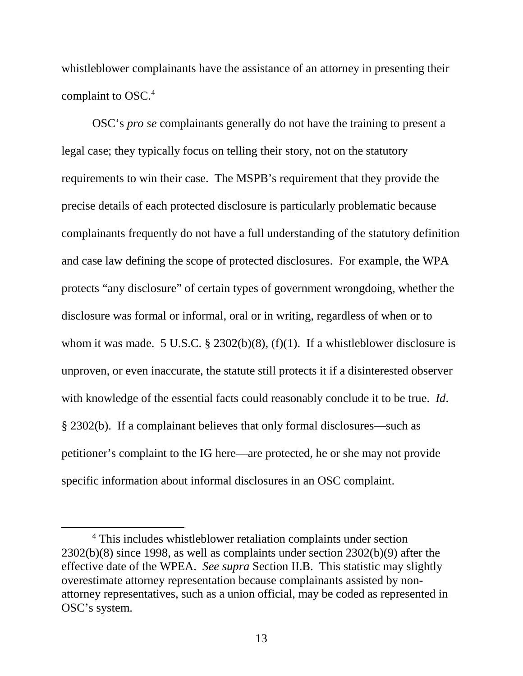whistleblower complainants have the assistance of an attorney in presenting their complaint to OSC. [4](#page-17-0)

OSC's *pro se* complainants generally do not have the training to present a legal case; they typically focus on telling their story, not on the statutory requirements to win their case. The MSPB's requirement that they provide the precise details of each protected disclosure is particularly problematic because complainants frequently do not have a full understanding of the statutory definition and case law defining the scope of protected disclosures. For example, the WPA protects "any disclosure" of certain types of government wrongdoing, whether the disclosure was formal or informal, oral or in writing, regardless of when or to whom it was made. 5 U.S.C.  $\S$  2302(b)(8), (f)(1). If a whistleblower disclosure is unproven, or even inaccurate, the statute still protects it if a disinterested observer with knowledge of the essential facts could reasonably conclude it to be true. *Id*. § 2302(b). If a complainant believes that only formal disclosures—such as petitioner's complaint to the IG here—are protected, he or she may not provide specific information about informal disclosures in an OSC complaint.

<span id="page-17-0"></span><sup>4</sup> This includes whistleblower retaliation complaints under section 2302(b)(8) since 1998, as well as complaints under section 2302(b)(9) after the effective date of the WPEA. *See supra* Section II.B. This statistic may slightly overestimate attorney representation because complainants assisted by nonattorney representatives, such as a union official, may be coded as represented in OSC's system.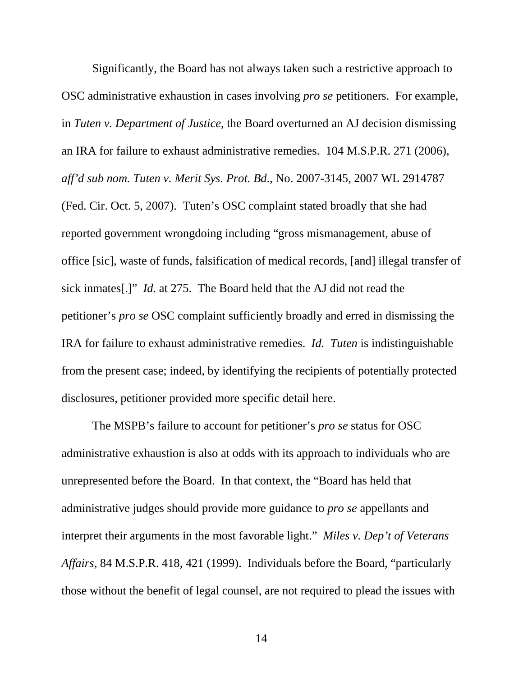Significantly, the Board has not always taken such a restrictive approach to OSC administrative exhaustion in cases involving *pro se* petitioners. For example, in *Tuten v. Department of Justice*, the Board overturned an AJ decision dismissing an IRA for failure to exhaust administrative remedies. 104 M.S.P.R. 271 (2006), *aff'd sub nom. Tuten v. Merit Sys. Prot. Bd*., No. 2007-3145, 2007 WL 2914787 (Fed. Cir. Oct. 5, 2007). Tuten's OSC complaint stated broadly that she had reported government wrongdoing including "gross mismanagement, abuse of office [sic], waste of funds, falsification of medical records, [and] illegal transfer of sick inmates[.]" *Id.* at 275. The Board held that the AJ did not read the petitioner's *pro se* OSC complaint sufficiently broadly and erred in dismissing the IRA for failure to exhaust administrative remedies. *Id. Tuten* is indistinguishable from the present case; indeed, by identifying the recipients of potentially protected disclosures, petitioner provided more specific detail here.

The MSPB's failure to account for petitioner's *pro se* status for OSC administrative exhaustion is also at odds with its approach to individuals who are unrepresented before the Board. In that context, the "Board has held that administrative judges should provide more guidance to *pro se* appellants and interpret their arguments in the most favorable light." *Miles v. Dep't of Veterans Affairs*, 84 M.S.P.R. 418, 421 (1999). Individuals before the Board, "particularly those without the benefit of legal counsel, are not required to plead the issues with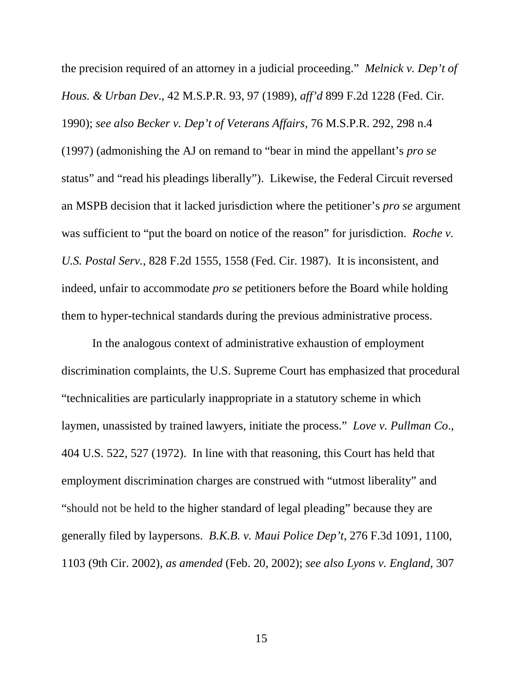the precision required of an attorney in a judicial proceeding." *Melnick v. Dep't of Hous. & Urban Dev*., 42 M.S.P.R. 93, 97 (1989), *aff'd* 899 F.2d 1228 (Fed. Cir. 1990); *see also Becker v. Dep't of Veterans Affairs*, 76 M.S.P.R. 292, 298 n.4 (1997) (admonishing the AJ on remand to "bear in mind the appellant's *pro se* status" and "read his pleadings liberally"). Likewise, the Federal Circuit reversed an MSPB decision that it lacked jurisdiction where the petitioner's *pro se* argument was sufficient to "put the board on notice of the reason" for jurisdiction. *Roche v. U.S. Postal Serv.*, 828 F.2d 1555, 1558 (Fed. Cir. 1987). It is inconsistent, and indeed, unfair to accommodate *pro se* petitioners before the Board while holding them to hyper-technical standards during the previous administrative process.

In the analogous context of administrative exhaustion of employment discrimination complaints, the U.S. Supreme Court has emphasized that procedural "technicalities are particularly inappropriate in a statutory scheme in which laymen, unassisted by trained lawyers, initiate the process." *Love v. Pullman Co*., 404 U.S. 522, 527 (1972). In line with that reasoning, this Court has held that employment discrimination charges are construed with "utmost liberality" and "should not be held to the higher standard of legal pleading" because they are generally filed by laypersons. *B.K.B. v. Maui Police Dep't*, 276 F.3d 1091, 1100, 1103 (9th Cir. 2002), *as amended* (Feb. 20, 2002); *see also Lyons v. England*, 307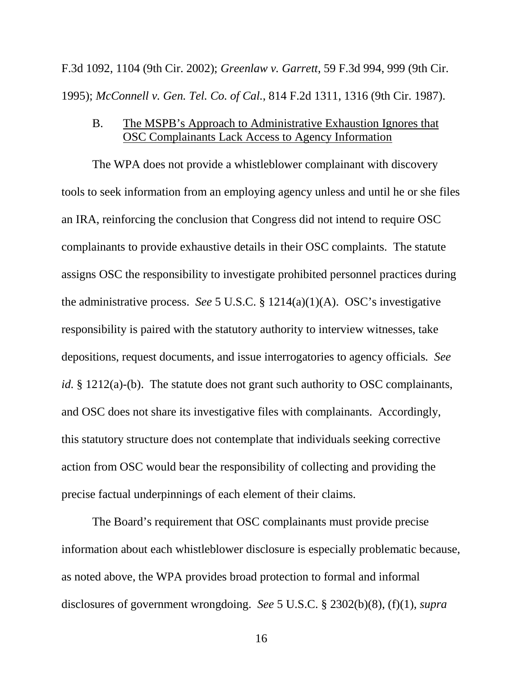F.3d 1092, 1104 (9th Cir. 2002); *Greenlaw v. Garrett*, 59 F.3d 994, 999 (9th Cir. 1995); *McConnell v. Gen. Tel. Co. of Cal.*, 814 F.2d 1311, 1316 (9th Cir. 1987).

# B. The MSPB's Approach to Administrative Exhaustion Ignores that OSC Complainants Lack Access to Agency Information

The WPA does not provide a whistleblower complainant with discovery tools to seek information from an employing agency unless and until he or she files an IRA, reinforcing the conclusion that Congress did not intend to require OSC complainants to provide exhaustive details in their OSC complaints. The statute assigns OSC the responsibility to investigate prohibited personnel practices during the administrative process. *See* 5 U.S.C. § 1214(a)(1)(A). OSC's investigative responsibility is paired with the statutory authority to interview witnesses, take depositions, request documents, and issue interrogatories to agency officials*. See id.* § 1212(a)-(b). The statute does not grant such authority to OSC complainants, and OSC does not share its investigative files with complainants. Accordingly, this statutory structure does not contemplate that individuals seeking corrective action from OSC would bear the responsibility of collecting and providing the precise factual underpinnings of each element of their claims.

The Board's requirement that OSC complainants must provide precise information about each whistleblower disclosure is especially problematic because, as noted above, the WPA provides broad protection to formal and informal disclosures of government wrongdoing. *See* 5 U.S.C. § 2302(b)(8), (f)(1), *supra* 

16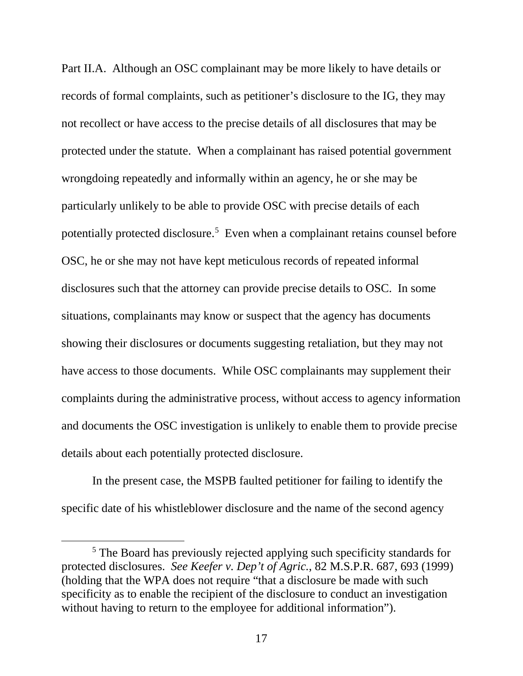Part II.A. Although an OSC complainant may be more likely to have details or records of formal complaints, such as petitioner's disclosure to the IG, they may not recollect or have access to the precise details of all disclosures that may be protected under the statute. When a complainant has raised potential government wrongdoing repeatedly and informally within an agency, he or she may be particularly unlikely to be able to provide OSC with precise details of each potentially protected disclosure.<sup>[5](#page-21-0)</sup> Even when a complainant retains counsel before OSC, he or she may not have kept meticulous records of repeated informal disclosures such that the attorney can provide precise details to OSC. In some situations, complainants may know or suspect that the agency has documents showing their disclosures or documents suggesting retaliation, but they may not have access to those documents. While OSC complainants may supplement their complaints during the administrative process, without access to agency information and documents the OSC investigation is unlikely to enable them to provide precise details about each potentially protected disclosure.

In the present case, the MSPB faulted petitioner for failing to identify the specific date of his whistleblower disclosure and the name of the second agency

<span id="page-21-0"></span><sup>5</sup> The Board has previously rejected applying such specificity standards for protected disclosures. *See Keefer v. Dep't of Agric.*, 82 M.S.P.R. 687, 693 (1999) (holding that the WPA does not require "that a disclosure be made with such specificity as to enable the recipient of the disclosure to conduct an investigation without having to return to the employee for additional information".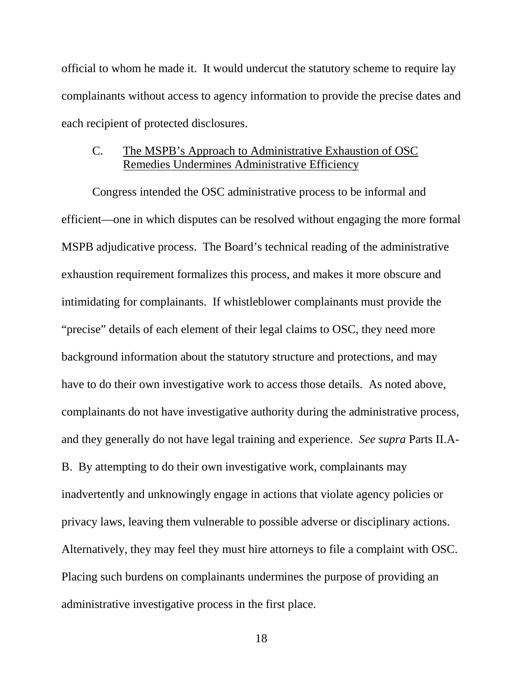official to whom he made it. It would undercut the statutory scheme to require lay complainants without access to agency information to provide the precise dates and each recipient of protected disclosures.

## C. The MSPB's Approach to Administrative Exhaustion of OSC Remedies Undermines Administrative Efficiency

Congress intended the OSC administrative process to be informal and efficient—one in which disputes can be resolved without engaging the more formal MSPB adjudicative process. The Board's technical reading of the administrative exhaustion requirement formalizes this process, and makes it more obscure and intimidating for complainants. If whistleblower complainants must provide the "precise" details of each element of their legal claims to OSC, they need more background information about the statutory structure and protections, and may have to do their own investigative work to access those details. As noted above, complainants do not have investigative authority during the administrative process, and they generally do not have legal training and experience. *See supra* Parts II.A-B. By attempting to do their own investigative work, complainants may inadvertently and unknowingly engage in actions that violate agency policies or privacy laws, leaving them vulnerable to possible adverse or disciplinary actions. Alternatively, they may feel they must hire attorneys to file a complaint with OSC. Placing such burdens on complainants undermines the purpose of providing an administrative investigative process in the first place.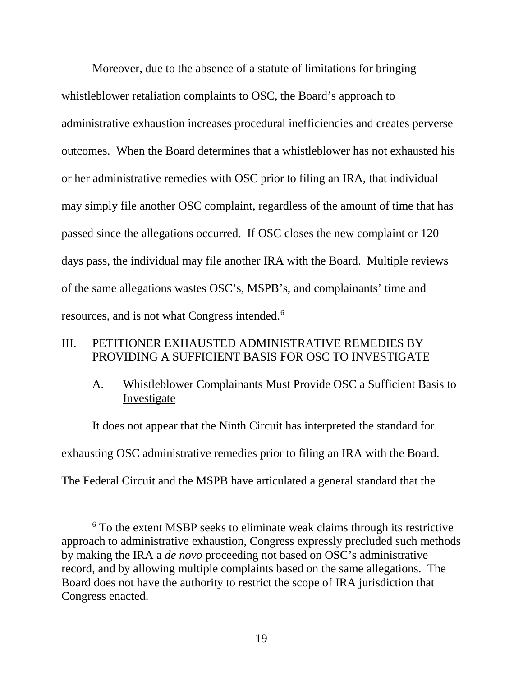Moreover, due to the absence of a statute of limitations for bringing whistleblower retaliation complaints to OSC, the Board's approach to administrative exhaustion increases procedural inefficiencies and creates perverse outcomes. When the Board determines that a whistleblower has not exhausted his or her administrative remedies with OSC prior to filing an IRA, that individual may simply file another OSC complaint, regardless of the amount of time that has passed since the allegations occurred. If OSC closes the new complaint or 120 days pass, the individual may file another IRA with the Board. Multiple reviews of the same allegations wastes OSC's, MSPB's, and complainants' time and resources, and is not what Congress intended.[6](#page-23-1)

# <span id="page-23-0"></span>III. PETITIONER EXHAUSTED ADMINISTRATIVE REMEDIES BY PROVIDING A SUFFICIENT BASIS FOR OSC TO INVESTIGATE

# A. Whistleblower Complainants Must Provide OSC a Sufficient Basis to Investigate

It does not appear that the Ninth Circuit has interpreted the standard for exhausting OSC administrative remedies prior to filing an IRA with the Board. The Federal Circuit and the MSPB have articulated a general standard that the

<span id="page-23-1"></span><sup>6</sup> To the extent MSBP seeks to eliminate weak claims through its restrictive approach to administrative exhaustion, Congress expressly precluded such methods by making the IRA a *de novo* proceeding not based on OSC's administrative record, and by allowing multiple complaints based on the same allegations. The Board does not have the authority to restrict the scope of IRA jurisdiction that Congress enacted.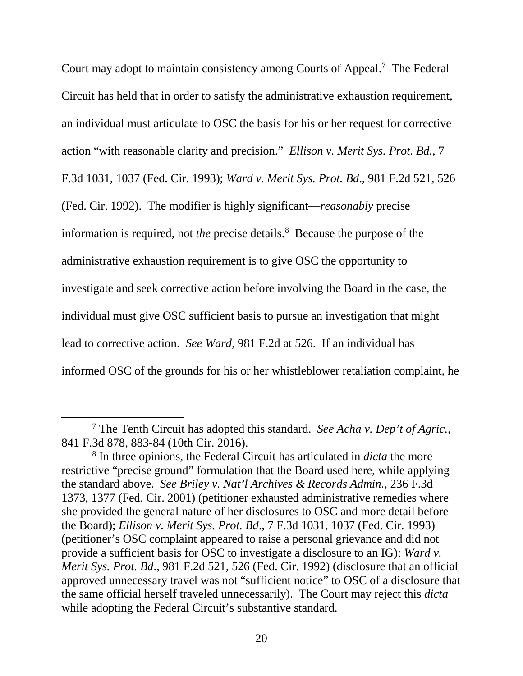Court may adopt to maintain consistency among Courts of Appeal.<sup>[7](#page-24-0)</sup> The Federal Circuit has held that in order to satisfy the administrative exhaustion requirement, an individual must articulate to OSC the basis for his or her request for corrective action "with reasonable clarity and precision." *Ellison v. Merit Sys. Prot. Bd.*, 7 F.3d 1031, 1037 (Fed. Cir. 1993); *Ward v. Merit Sys. Prot. Bd*., 981 F.2d 521, 526 (Fed. Cir. 1992). The modifier is highly significant—*reasonably* precise information is required, not *the* precise details.<sup>[8](#page-24-1)</sup> Because the purpose of the administrative exhaustion requirement is to give OSC the opportunity to investigate and seek corrective action before involving the Board in the case, the individual must give OSC sufficient basis to pursue an investigation that might lead to corrective action. *See Ward*, 981 F.2d at 526. If an individual has informed OSC of the grounds for his or her whistleblower retaliation complaint, he

 $\overline{\phantom{a}}$ 

<span id="page-24-0"></span><sup>7</sup> The Tenth Circuit has adopted this standard. *See Acha v. Dep't of Agric.*, 841 F.3d 878, 883-84 (10th Cir. 2016).

<span id="page-24-1"></span><sup>8</sup> In three opinions, the Federal Circuit has articulated in *dicta* the more restrictive "precise ground" formulation that the Board used here, while applying the standard above. *See Briley v. Nat'l Archives & Records Admin.*, 236 F.3d 1373, 1377 (Fed. Cir. 2001) (petitioner exhausted administrative remedies where she provided the general nature of her disclosures to OSC and more detail before the Board); *Ellison v. Merit Sys. Prot. Bd*., 7 F.3d 1031, 1037 (Fed. Cir. 1993) (petitioner's OSC complaint appeared to raise a personal grievance and did not provide a sufficient basis for OSC to investigate a disclosure to an IG); *Ward v. Merit Sys. Prot. Bd*., 981 F.2d 521, 526 (Fed. Cir. 1992) (disclosure that an official approved unnecessary travel was not "sufficient notice" to OSC of a disclosure that the same official herself traveled unnecessarily). The Court may reject this *dicta*  while adopting the Federal Circuit's substantive standard.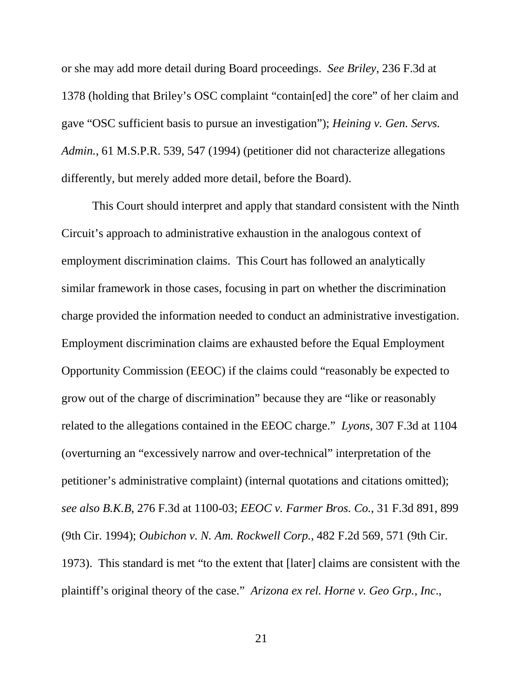or she may add more detail during Board proceedings. *See Briley*, 236 F.3d at 1378 (holding that Briley's OSC complaint "contain[ed] the core" of her claim and gave "OSC sufficient basis to pursue an investigation"); *Heining v. Gen. Servs. Admin.*, 61 M.S.P.R. 539, 547 (1994) (petitioner did not characterize allegations differently, but merely added more detail, before the Board).

This Court should interpret and apply that standard consistent with the Ninth Circuit's approach to administrative exhaustion in the analogous context of employment discrimination claims. This Court has followed an analytically similar framework in those cases, focusing in part on whether the discrimination charge provided the information needed to conduct an administrative investigation. Employment discrimination claims are exhausted before the Equal Employment Opportunity Commission (EEOC) if the claims could "reasonably be expected to grow out of the charge of discrimination" because they are "like or reasonably related to the allegations contained in the EEOC charge." *Lyons*, 307 F.3d at 1104 (overturning an "excessively narrow and over-technical" interpretation of the petitioner's administrative complaint) (internal quotations and citations omitted); *see also B.K.B*, 276 F.3d at 1100-03; *EEOC v. Farmer Bros. Co.*, 31 F.3d 891, 899 (9th Cir. 1994); *Oubichon v. N. Am. Rockwell Corp.*, 482 F.2d 569, 571 (9th Cir. 1973). This standard is met "to the extent that [later] claims are consistent with the plaintiff's original theory of the case." *Arizona ex rel. Horne v. Geo Grp., Inc*.,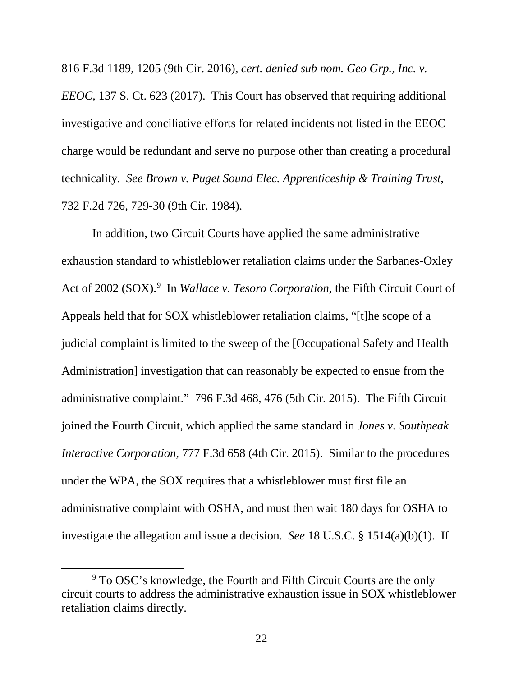816 F.3d 1189, 1205 (9th Cir. 2016), *cert. denied sub nom. Geo Grp., Inc. v.* 

*EEOC*, 137 S. Ct. 623 (2017). This Court has observed that requiring additional investigative and conciliative efforts for related incidents not listed in the EEOC charge would be redundant and serve no purpose other than creating a procedural technicality. *See Brown v. Puget Sound Elec. Apprenticeship & Training Trust*, 732 F.2d 726, 729-30 (9th Cir. 1984).

In addition, two Circuit Courts have applied the same administrative exhaustion standard to whistleblower retaliation claims under the Sarbanes-Oxley Act of 2002 (SOX).<sup>[9](#page-26-0)</sup> In *Wallace v. Tesoro Corporation*, the Fifth Circuit Court of Appeals held that for SOX whistleblower retaliation claims, "[t]he scope of a judicial complaint is limited to the sweep of the [Occupational Safety and Health Administration] investigation that can reasonably be expected to ensue from the administrative complaint." 796 F.3d 468, 476 (5th Cir. 2015). The Fifth Circuit joined the Fourth Circuit, which applied the same standard in *Jones v. Southpeak Interactive Corporation*, 777 F.3d 658 (4th Cir. 2015). Similar to the procedures under the WPA, the SOX requires that a whistleblower must first file an administrative complaint with OSHA, and must then wait 180 days for OSHA to investigate the allegation and issue a decision. *See* 18 U.S.C. § 1514(a)(b)(1). If

<span id="page-26-0"></span><sup>9</sup> To OSC's knowledge, the Fourth and Fifth Circuit Courts are the only circuit courts to address the administrative exhaustion issue in SOX whistleblower retaliation claims directly.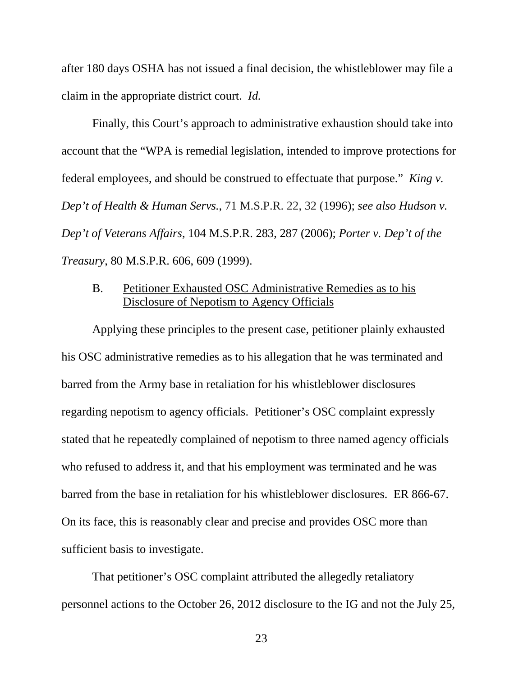after 180 days OSHA has not issued a final decision, the whistleblower may file a claim in the appropriate district court. *Id.*

Finally, this Court's approach to administrative exhaustion should take into account that the "WPA is remedial legislation, intended to improve protections for federal employees, and should be construed to effectuate that purpose." *King v. Dep't of Health & Human Servs.*, 71 M.S.P.R. 22, 32 (1996); *see also Hudson v. Dep't of Veterans Affairs*, 104 M.S.P.R. 283, 287 (2006); *Porter v. Dep't of the Treasury*, 80 M.S.P.R. 606, 609 (1999).

# B. Petitioner Exhausted OSC Administrative Remedies as to his Disclosure of Nepotism to Agency Officials

Applying these principles to the present case, petitioner plainly exhausted his OSC administrative remedies as to his allegation that he was terminated and barred from the Army base in retaliation for his whistleblower disclosures regarding nepotism to agency officials. Petitioner's OSC complaint expressly stated that he repeatedly complained of nepotism to three named agency officials who refused to address it, and that his employment was terminated and he was barred from the base in retaliation for his whistleblower disclosures. ER 866-67. On its face, this is reasonably clear and precise and provides OSC more than sufficient basis to investigate.

That petitioner's OSC complaint attributed the allegedly retaliatory personnel actions to the October 26, 2012 disclosure to the IG and not the July 25,

23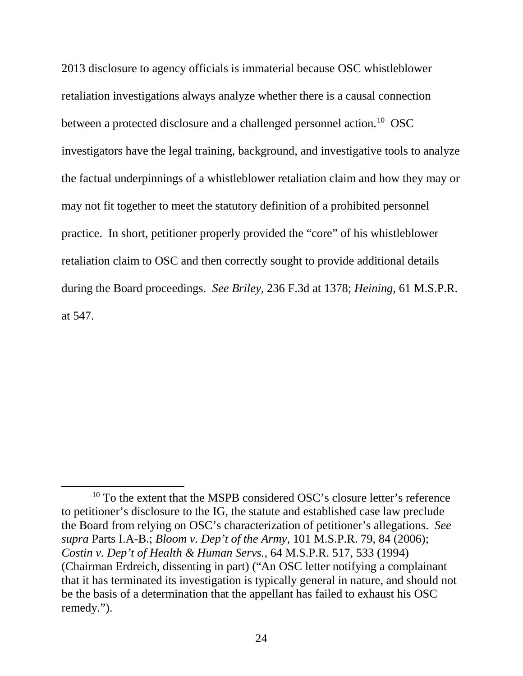2013 disclosure to agency officials is immaterial because OSC whistleblower retaliation investigations always analyze whether there is a causal connection between a protected disclosure and a challenged personnel action.<sup>[10](#page-28-0)</sup> OSC investigators have the legal training, background, and investigative tools to analyze the factual underpinnings of a whistleblower retaliation claim and how they may or may not fit together to meet the statutory definition of a prohibited personnel practice. In short, petitioner properly provided the "core" of his whistleblower retaliation claim to OSC and then correctly sought to provide additional details during the Board proceedings. *See Briley*, 236 F.3d at 1378; *Heining*, 61 M.S.P.R. at 547.

 $\overline{\phantom{a}}$ 

<span id="page-28-0"></span><sup>&</sup>lt;sup>10</sup> To the extent that the MSPB considered OSC's closure letter's reference to petitioner's disclosure to the IG, the statute and established case law preclude the Board from relying on OSC's characterization of petitioner's allegations. *See supra* Parts I.A-B.; *Bloom v. Dep't of the Army*, 101 M.S.P.R. 79, 84 (2006); *Costin v. Dep't of Health & Human Servs.*, 64 M.S.P.R. 517, 533 (1994) (Chairman Erdreich, dissenting in part) ("An OSC letter notifying a complainant that it has terminated its investigation is typically general in nature, and should not be the basis of a determination that the appellant has failed to exhaust his OSC remedy.").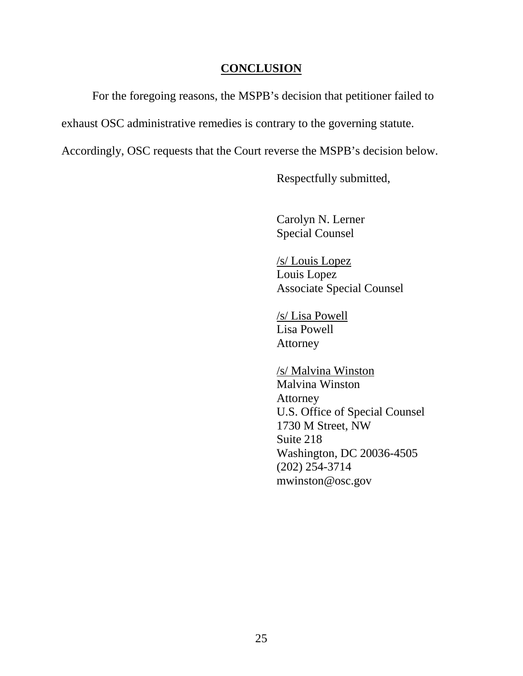### **CONCLUSION**

<span id="page-29-0"></span>For the foregoing reasons, the MSPB's decision that petitioner failed to

exhaust OSC administrative remedies is contrary to the governing statute.

Accordingly, OSC requests that the Court reverse the MSPB's decision below.

Respectfully submitted,

Carolyn N. Lerner Special Counsel

/s/ Louis Lopez Louis Lopez Associate Special Counsel

/s/ Lisa Powell Lisa Powell Attorney

/s/ Malvina Winston Malvina Winston Attorney U.S. Office of Special Counsel 1730 M Street, NW Suite 218 Washington, DC 20036-4505 (202) 254-3714 mwinston@osc.gov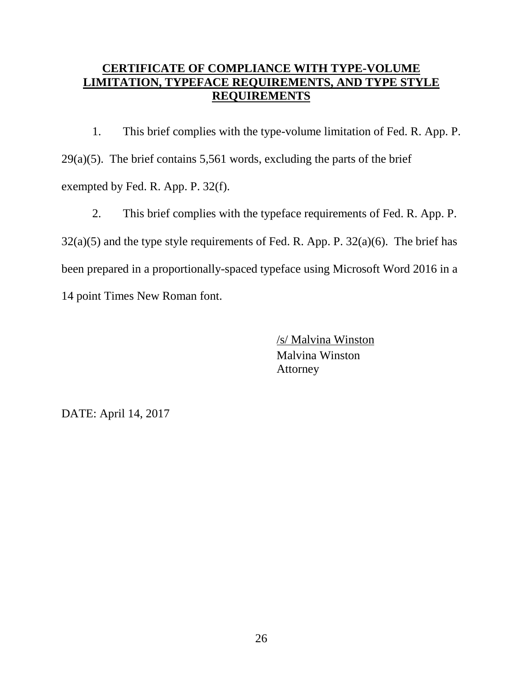# <span id="page-30-0"></span>**CERTIFICATE OF COMPLIANCE WITH TYPE-VOLUME LIMITATION, TYPEFACE REQUIREMENTS, AND TYPE STYLE REQUIREMENTS**

1. This brief complies with the type-volume limitation of Fed. R. App. P.  $29(a)(5)$ . The brief contains 5,561 words, excluding the parts of the brief exempted by Fed. R. App. P. 32(f).

2. This brief complies with the typeface requirements of Fed. R. App. P.  $32(a)(5)$  and the type style requirements of Fed. R. App. P.  $32(a)(6)$ . The brief has been prepared in a proportionally-spaced typeface using Microsoft Word 2016 in a 14 point Times New Roman font.

> /s/ Malvina Winston Malvina Winston Attorney

DATE: April 14, 2017